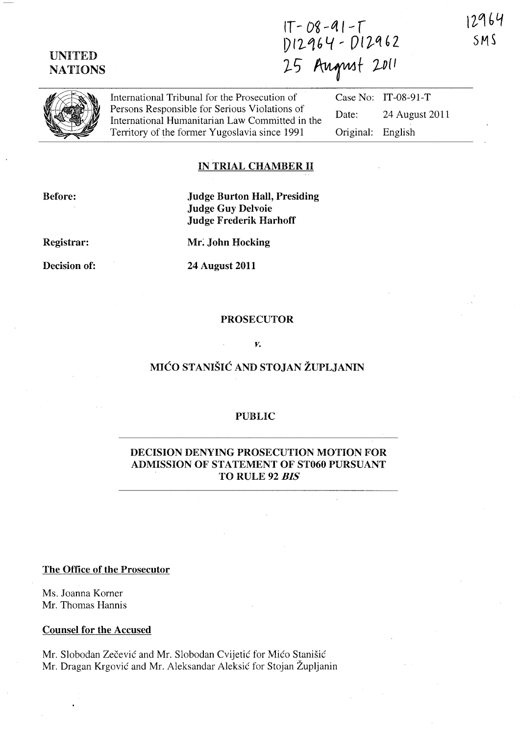12964  $SMS$ 

## UNITED NATIONS

 $11 - U\delta - V\Gamma$  $U/L$ <sup>1</sup>6 J  $U/L$ 25 August 2011

International Tribunal for the Prosecution of Persons Responsible for Serious Violations of International Humanitarian Law Committed in the Territory of the former Yugoslavia since 1991 Case No: IT-08-9l-T Date: 24 August 2011 Original: English

## IN TRIAL CHAMBER 11

Before:

Judge Burton Hall, Presiding Judge Guy Delvoie Judge Frederik Harhoff

Registrar:

Mr: John Hocking

Decision of:

24 August 2011

#### PROSECUTOR

*v.* 

# MIĆO STANIŠIĆ AND STOJAN ŽUPLJANIN

#### PUBLIC

### DECISION DENYING PROSECUTION MOTION FOR ADMISSION OF STATEMENT OF ST060 PURSUANT TO RULE 92 *BIS*

#### The Office of the Prosecutor

Ms. Joanna Korner Mr. Thomas Hannis

#### Counsel for the Accused

Mr. Slobodan Zečević and Mr. Slobodan Cvijetić for Mićo Stanišić Mr. Dragan Krgovic and Mr. Aleksandar Aleksic for Stojan Zupljanin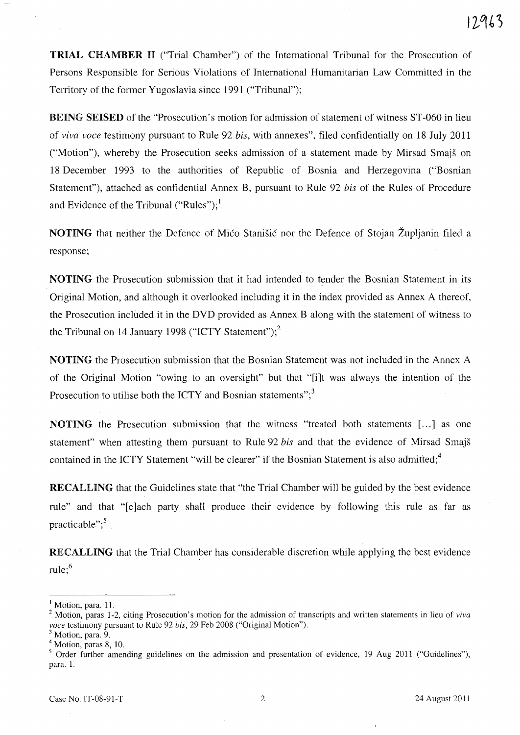TRIAL CHAMBER II ("Trial Chamber") of the International Tribunal for the Prosecution of Persons Responsible for Serious Violations of International Humanitarian Law Committed in the Territory of the former Yugoslavia since 1991 ("Tribunal");

BEING SEISED of the "Prosecution's motion for admission of statement of witness ST-060 in lieu of *viva voce* testimony pursuant to Rule 92 *bis,* with annexes", filed confidentially on 18 July 2011 ("Motion"), whereby the Prosecution seeks admission of a statement made by Mirsad Smajs on 18 December 1993 to the authorities of Republic of Bosnia and Herzegovina ("Bosnian Statement"), attached as confidential Annex B, pursuant to Rule 92 *bis* of the Rules of Procedure and Evidence of the Tribunal ("Rules");<sup>1</sup>

NOTING that neither the Defence of Mico Stanisic nor the Defence of Stojan Zupljanin filed a response;

NOTING the Prosecution submission that it had intended to tender the Bosnian Statement in its Original Motion, and although it overlooked including it in the index provided as Annex A thereof, the Prosecution included it in the DVD provided as Annex B along with the statement of witness to the Tribunal on 14 January 1998 ("ICTY Statement"); $^2$ 

NOTING the Prosecution submission that the Bosnian Statement was not included 'in the Annex A of the Original Motion "owing to an oversight" but that "[i]t was always the intention of the Prosecution to utilise both the ICTY and Bosnian statements"; $3$ 

**NOTING** the Prosecution submission that the witness "treated both statements [...] as one statement" when attesting them pursuant to Rule 92 *bis* and that the evidence of Mirsad Smajs contained in the ICTY Statement "will be clearer" if the Bosnian Statement is also admitted;<sup>4</sup>

RECALLING that the Guidelines state that "the Trial Chamber will be guided by the best evidence rule" and that "[e]ach party shall produce their evidence by following this rule as far as practicable"; $5$ 

RECALLING that the Trial Chamber has considerable discretion while applying the best evidence rule; $<sup>6</sup>$ </sup>

<sup>&</sup>lt;sup>1</sup> Motion, para. 11.

<sup>2</sup> Motion, paras 1-2, citing Prosecution's motion for the admission of transcripts and written statements in lieu of *viva voce* testimony pursuant to Rule 92 *his,* 29 Feb 2008 ("Original Motion").

<sup>&</sup>lt;sup>3</sup> Motion, para. 9.

<sup>4</sup> Motion, paras 8, 10.

 $5$  Order further amending guidelines on the admission and presentation of evidence, 19 Aug 2011 ("Guidelines"), para. 1.